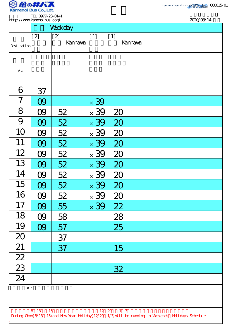

.

TEL 0977-23-0141 http://www.kamenoibus.com/

|                 | http://www.kanenoi.bus.com/ |                        |                               |                                                                                                                 | 2020/03/14 |
|-----------------|-----------------------------|------------------------|-------------------------------|-----------------------------------------------------------------------------------------------------------------|------------|
|                 |                             | Weekday                |                               |                                                                                                                 |            |
| Desti nati on   | [2]                         | $\vert$ [2]<br>Kannava | $[1]$                         | $[1]$<br><b>Kannava</b>                                                                                         |            |
| Vi a            |                             |                        |                               |                                                                                                                 |            |
| 6               | 37                          |                        |                               |                                                                                                                 |            |
| 7               | 09                          |                        | $\times$ 39                   |                                                                                                                 |            |
| 8               | 09                          | 52                     | $\times$ 39                   | 20                                                                                                              |            |
| 9               | 09                          | 52                     | $\times$ 39                   | 20                                                                                                              |            |
| 10              | 09                          | 52                     | 39<br>$\times$                | 20                                                                                                              |            |
| 11              | 09                          | 52                     | 39<br>$\overline{\mathsf{x}}$ | 20                                                                                                              |            |
| 12              | <b>09</b>                   | 52                     | $\times$ 39                   | 20                                                                                                              |            |
| 13              | 09                          | <u>52</u>              | $\times$ 39                   | 20                                                                                                              |            |
| 14              | O9                          | 52                     | $\times$ 39                   | 20                                                                                                              |            |
| 15              | 09                          | 52                     | $\times$ 39                   | 20                                                                                                              |            |
| 16              | O9                          | 52                     | 39<br>$\times$                | 20                                                                                                              |            |
| 17              | OQ                          | 55                     | $\times$ 39                   | 22                                                                                                              |            |
| 18              | O9                          | 58                     |                               | 28                                                                                                              |            |
| 19              | 09                          | 57                     |                               | 25                                                                                                              |            |
| 20              |                             | 37                     |                               |                                                                                                                 |            |
| 21              |                             | 37                     |                               | 15                                                                                                              |            |
| $\frac{22}{23}$ |                             |                        |                               |                                                                                                                 |            |
|                 |                             |                        |                               | 32                                                                                                              |            |
| $\overline{24}$ |                             |                        |                               |                                                                                                                 |            |
| $\times$ :      |                             |                        |                               |                                                                                                                 |            |
|                 |                             |                        |                               |                                                                                                                 |            |
|                 | 8 13 15                     |                        |                               | 12 29 1 3<br>During Cbon(8/13 15) and New Year Holiday(12/29 1/3) will be running in Weekends Holidays Schedule |            |